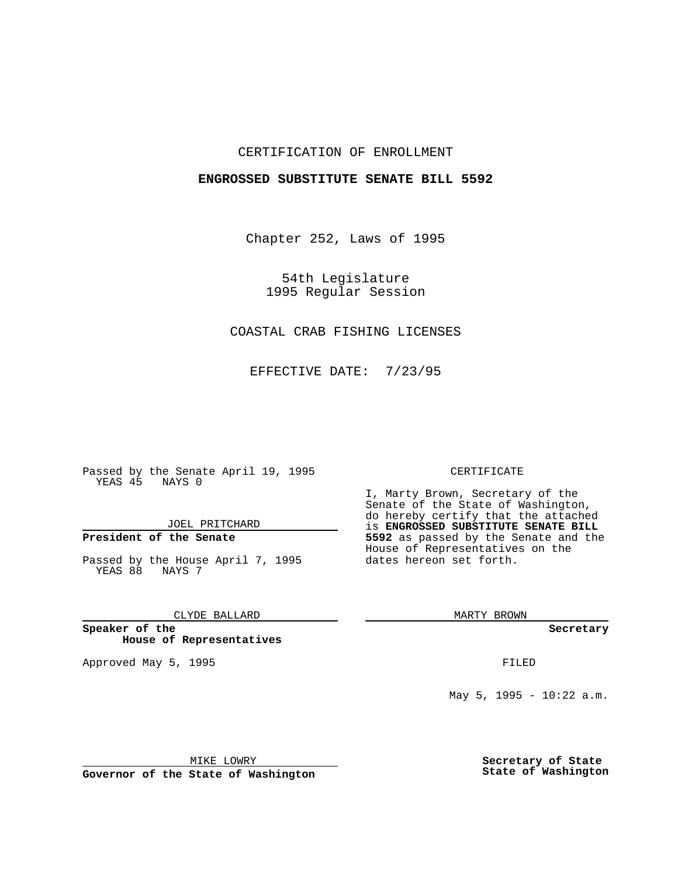## CERTIFICATION OF ENROLLMENT

### **ENGROSSED SUBSTITUTE SENATE BILL 5592**

Chapter 252, Laws of 1995

54th Legislature 1995 Regular Session

# COASTAL CRAB FISHING LICENSES

EFFECTIVE DATE: 7/23/95

Passed by the Senate April 19, 1995 YEAS 45 NAYS 0

JOEL PRITCHARD

# **President of the Senate**

Passed by the House April 7, 1995 YEAS 88 NAYS 7

CLYDE BALLARD

**Speaker of the House of Representatives**

Approved May 5, 1995 **FILED** 

#### CERTIFICATE

I, Marty Brown, Secretary of the Senate of the State of Washington, do hereby certify that the attached is **ENGROSSED SUBSTITUTE SENATE BILL 5592** as passed by the Senate and the House of Representatives on the dates hereon set forth.

MARTY BROWN

**Secretary**

May 5, 1995 - 10:22 a.m.

MIKE LOWRY

**Governor of the State of Washington**

**Secretary of State State of Washington**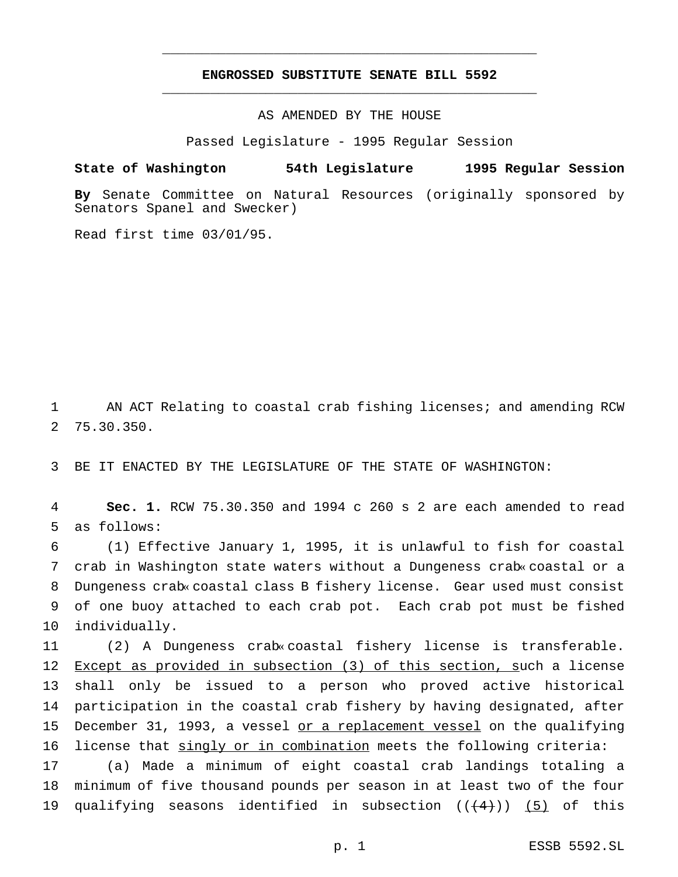## **ENGROSSED SUBSTITUTE SENATE BILL 5592** \_\_\_\_\_\_\_\_\_\_\_\_\_\_\_\_\_\_\_\_\_\_\_\_\_\_\_\_\_\_\_\_\_\_\_\_\_\_\_\_\_\_\_\_\_\_\_

\_\_\_\_\_\_\_\_\_\_\_\_\_\_\_\_\_\_\_\_\_\_\_\_\_\_\_\_\_\_\_\_\_\_\_\_\_\_\_\_\_\_\_\_\_\_\_

AS AMENDED BY THE HOUSE

Passed Legislature - 1995 Regular Session

#### **State of Washington 54th Legislature 1995 Regular Session**

**By** Senate Committee on Natural Resources (originally sponsored by Senators Spanel and Swecker)

Read first time 03/01/95.

1 AN ACT Relating to coastal crab fishing licenses; and amending RCW 2 75.30.350.

3 BE IT ENACTED BY THE LEGISLATURE OF THE STATE OF WASHINGTON:

4 **Sec. 1.** RCW 75.30.350 and 1994 c 260 s 2 are each amended to read 5 as follows:

 (1) Effective January 1, 1995, it is unlawful to fish for coastal crab in Washington state waters without a Dungeness crab« coastal or a Dungeness crab« coastal class B fishery license. Gear used must consist of one buoy attached to each crab pot. Each crab pot must be fished individually.

 (2) A Dungeness crab« coastal fishery license is transferable. Except as provided in subsection (3) of this section, such a license shall only be issued to a person who proved active historical participation in the coastal crab fishery by having designated, after 15 December 31, 1993, a vessel or a replacement vessel on the qualifying 16 license that singly or in combination meets the following criteria: (a) Made a minimum of eight coastal crab landings totaling a minimum of five thousand pounds per season in at least two of the four

19 qualifying seasons identified in subsection  $((\langle 4 \rangle) )$  (5) of this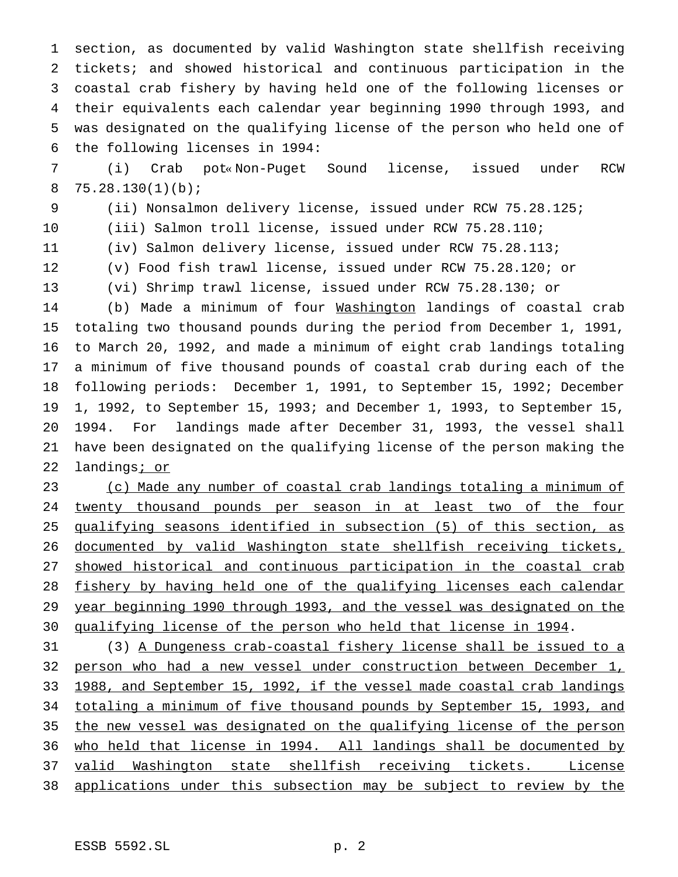section, as documented by valid Washington state shellfish receiving tickets; and showed historical and continuous participation in the coastal crab fishery by having held one of the following licenses or their equivalents each calendar year beginning 1990 through 1993, and was designated on the qualifying license of the person who held one of the following licenses in 1994:

 (i) Crab pot« Non-Puget Sound license, issued under RCW 8  $75.28.130(1)(b)$ ;

(ii) Nonsalmon delivery license, issued under RCW 75.28.125;

(iii) Salmon troll license, issued under RCW 75.28.110;

(iv) Salmon delivery license, issued under RCW 75.28.113;

(v) Food fish trawl license, issued under RCW 75.28.120; or

(vi) Shrimp trawl license, issued under RCW 75.28.130; or

 (b) Made a minimum of four Washington landings of coastal crab totaling two thousand pounds during the period from December 1, 1991, to March 20, 1992, and made a minimum of eight crab landings totaling a minimum of five thousand pounds of coastal crab during each of the following periods: December 1, 1991, to September 15, 1992; December 1, 1992, to September 15, 1993; and December 1, 1993, to September 15, 1994. For landings made after December 31, 1993, the vessel shall have been designated on the qualifying license of the person making the 22 landings<u>; or</u>

 (c) Made any number of coastal crab landings totaling a minimum of 24 twenty thousand pounds per season in at least two of the four qualifying seasons identified in subsection (5) of this section, as documented by valid Washington state shellfish receiving tickets, 27 showed historical and continuous participation in the coastal crab 28 fishery by having held one of the qualifying licenses each calendar year beginning 1990 through 1993, and the vessel was designated on the 30 qualifying license of the person who held that license in 1994.

 (3) A Dungeness crab-coastal fishery license shall be issued to a person who had a new vessel under construction between December 1, 1988, and September 15, 1992, if the vessel made coastal crab landings totaling a minimum of five thousand pounds by September 15, 1993, and the new vessel was designated on the qualifying license of the person who held that license in 1994. All landings shall be documented by 37 valid Washington state shellfish receiving tickets. License applications under this subsection may be subject to review by the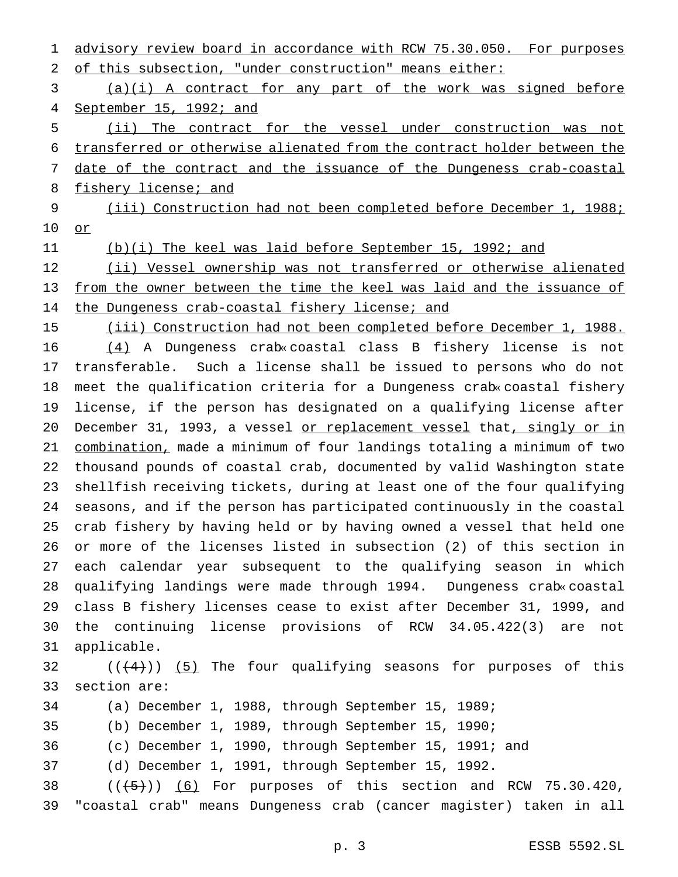1 advisory review board in accordance with RCW 75.30.050. For purposes of this subsection, "under construction" means either: (a)(i) A contract for any part of the work was signed before September 15, 1992; and (ii) The contract for the vessel under construction was not transferred or otherwise alienated from the contract holder between the date of the contract and the issuance of the Dungeness crab-coastal 8 fishery license; and (iii) Construction had not been completed before December 1, 1988; or (b)(i) The keel was laid before September 15, 1992; and 12 (ii) Vessel ownership was not transferred or otherwise alienated from the owner between the time the keel was laid and the issuance of 14 the Dungeness crab-coastal fishery license; and (iii) Construction had not been completed before December 1, 1988. (4) A Dungeness crab« coastal class B fishery license is not transferable. Such a license shall be issued to persons who do not meet the qualification criteria for a Dungeness crab« coastal fishery license, if the person has designated on a qualifying license after December 31, 1993, a vessel or replacement vessel that, singly or in combination, made a minimum of four landings totaling a minimum of two thousand pounds of coastal crab, documented by valid Washington state shellfish receiving tickets, during at least one of the four qualifying seasons, and if the person has participated continuously in the coastal crab fishery by having held or by having owned a vessel that held one or more of the licenses listed in subsection (2) of this section in each calendar year subsequent to the qualifying season in which qualifying landings were made through 1994. Dungeness crab« coastal class B fishery licenses cease to exist after December 31, 1999, and the continuing license provisions of RCW 34.05.422(3) are not applicable.  $((+4))$  (5) The four qualifying seasons for purposes of this section are: (a) December 1, 1988, through September 15, 1989; (b) December 1, 1989, through September 15, 1990; (c) December 1, 1990, through September 15, 1991; and (d) December 1, 1991, through September 15, 1992.  $((+5))$   $(6)$  For purposes of this section and RCW 75.30.420, "coastal crab" means Dungeness crab (cancer magister) taken in all